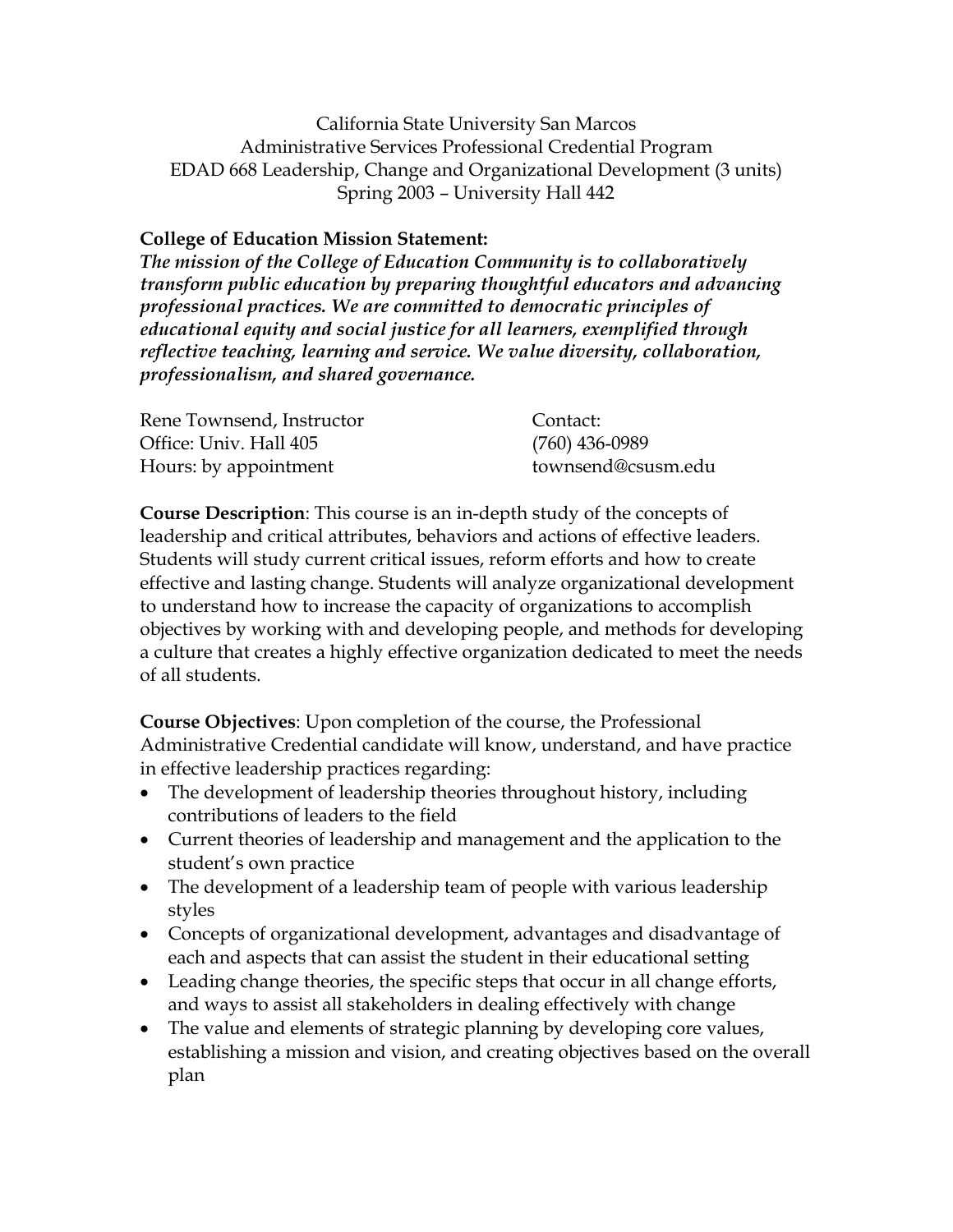California State University San Marcos Administrative Services Professional Credential Program EDAD 668 Leadership, Change and Organizational Development (3 units) Spring 2003 – University Hall 442

## **College of Education Mission Statement:**

*The mission of the College of Education Community is to collaboratively transform public education by preparing thoughtful educators and advancing professional practices. We are committed to democratic principles of educational equity and social justice for all learners, exemplified through reflective teaching, learning and service. We value diversity, collaboration, professionalism, and shared governance.*

| Rene Townsend, Instructor | Contact:           |
|---------------------------|--------------------|
| Office: Univ. Hall 405    | $(760)$ 436-0989   |
| Hours: by appointment     | townsend@csusm.edu |

**Course Description**: This course is an in-depth study of the concepts of leadership and critical attributes, behaviors and actions of effective leaders. Students will study current critical issues, reform efforts and how to create effective and lasting change. Students will analyze organizational development to understand how to increase the capacity of organizations to accomplish objectives by working with and developing people, and methods for developing a culture that creates a highly effective organization dedicated to meet the needs of all students.

**Course Objectives**: Upon completion of the course, the Professional Administrative Credential candidate will know, understand, and have practice in effective leadership practices regarding:

- The development of leadership theories throughout history, including contributions of leaders to the field
- Current theories of leadership and management and the application to the student's own practice
- The development of a leadership team of people with various leadership styles
- Concepts of organizational development, advantages and disadvantage of each and aspects that can assist the student in their educational setting
- Leading change theories, the specific steps that occur in all change efforts, and ways to assist all stakeholders in dealing effectively with change
- The value and elements of strategic planning by developing core values, establishing a mission and vision, and creating objectives based on the overall plan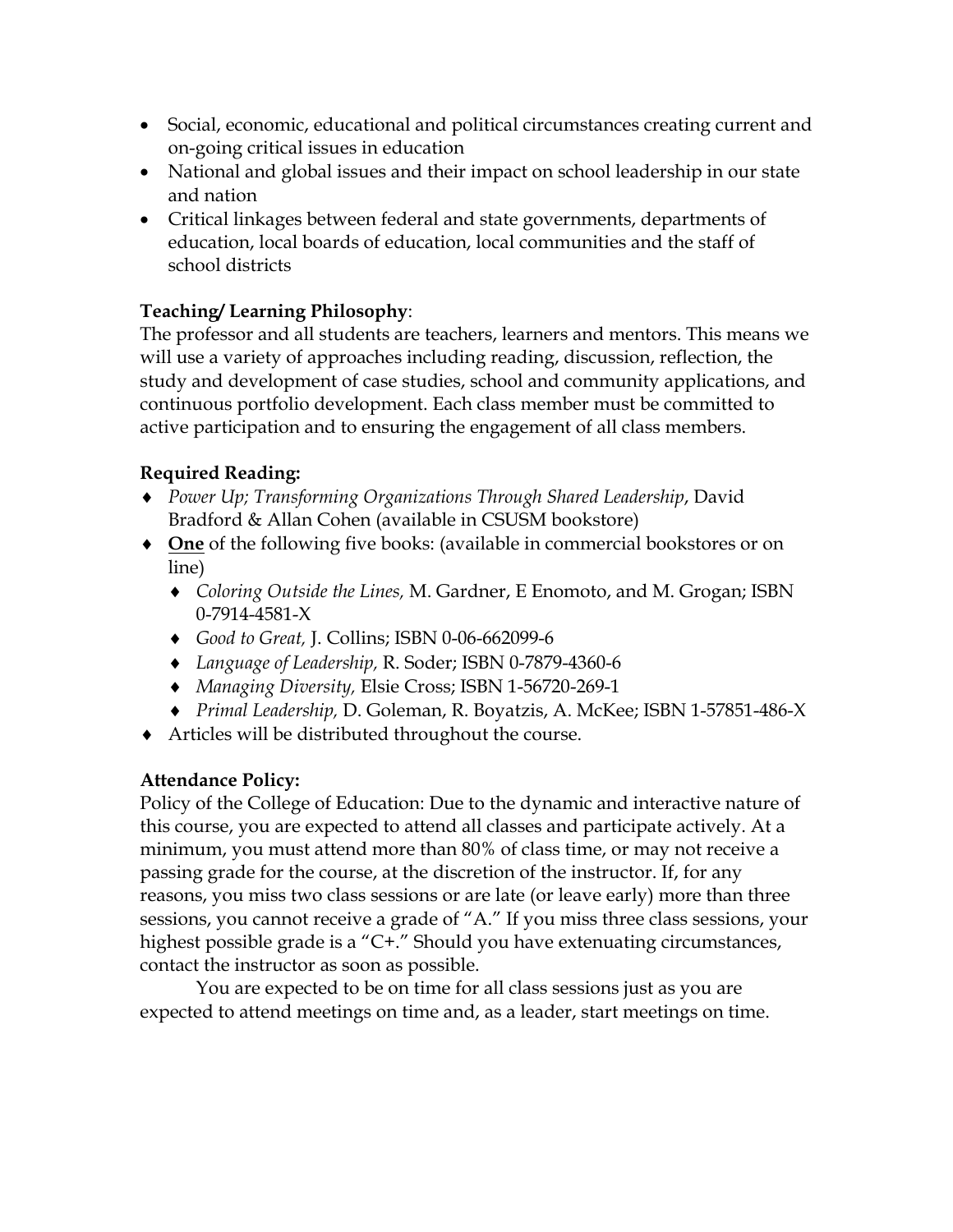- Social, economic, educational and political circumstances creating current and on-going critical issues in education
- National and global issues and their impact on school leadership in our state and nation
- Critical linkages between federal and state governments, departments of education, local boards of education, local communities and the staff of school districts

# **Teaching/ Learning Philosophy**:

The professor and all students are teachers, learners and mentors. This means we will use a variety of approaches including reading, discussion, reflection, the study and development of case studies, school and community applications, and continuous portfolio development. Each class member must be committed to active participation and to ensuring the engagement of all class members.

# **Required Reading:**

- ♦ *Power Up; Transforming Organizations Through Shared Leadership*, David Bradford & Allan Cohen (available in CSUSM bookstore)
- ♦ **One** of the following five books: (available in commercial bookstores or on line)
	- ♦ *Coloring Outside the Lines,* M. Gardner, E Enomoto, and M. Grogan; ISBN 0-7914-4581-X
	- ♦ *Good to Great,* J. Collins; ISBN 0-06-662099-6
	- ♦ *Language of Leadership,* R. Soder; ISBN 0-7879-4360-6
	- ♦ *Managing Diversity,* Elsie Cross; ISBN 1-56720-269-1
	- ♦ *Primal Leadership,* D. Goleman, R. Boyatzis, A. McKee; ISBN 1-57851-486-X
- ♦ Articles will be distributed throughout the course.

### **Attendance Policy:**

Policy of the College of Education: Due to the dynamic and interactive nature of this course, you are expected to attend all classes and participate actively. At a minimum, you must attend more than 80% of class time, or may not receive a passing grade for the course, at the discretion of the instructor. If, for any reasons, you miss two class sessions or are late (or leave early) more than three sessions, you cannot receive a grade of "A." If you miss three class sessions, your highest possible grade is a "C+." Should you have extenuating circumstances, contact the instructor as soon as possible.

You are expected to be on time for all class sessions just as you are expected to attend meetings on time and, as a leader, start meetings on time.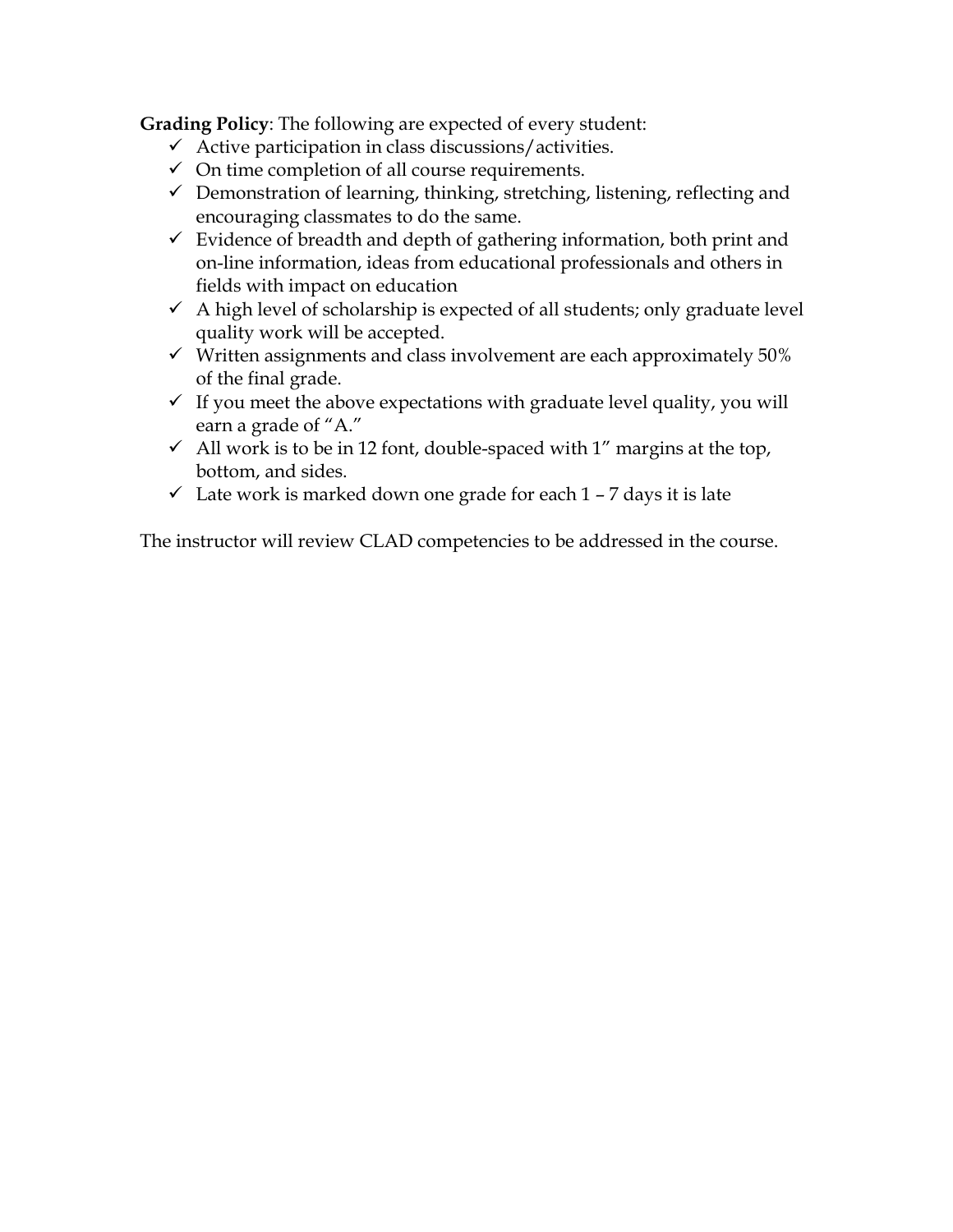**Grading Policy**: The following are expected of every student:

- $\checkmark$  Active participation in class discussions/activities.
- $\checkmark$  On time completion of all course requirements.
- $\checkmark$  Demonstration of learning, thinking, stretching, listening, reflecting and encouraging classmates to do the same.
- $\checkmark$  Evidence of breadth and depth of gathering information, both print and on-line information, ideas from educational professionals and others in fields with impact on education
- $\checkmark$  A high level of scholarship is expected of all students; only graduate level quality work will be accepted.
- $\checkmark$  Written assignments and class involvement are each approximately 50% of the final grade.
- $\checkmark$  If you meet the above expectations with graduate level quality, you will earn a grade of "A."
- $\checkmark$  All work is to be in 12 font, double-spaced with 1" margins at the top, bottom, and sides.
- $\checkmark$  Late work is marked down one grade for each 1 7 days it is late

The instructor will review CLAD competencies to be addressed in the course.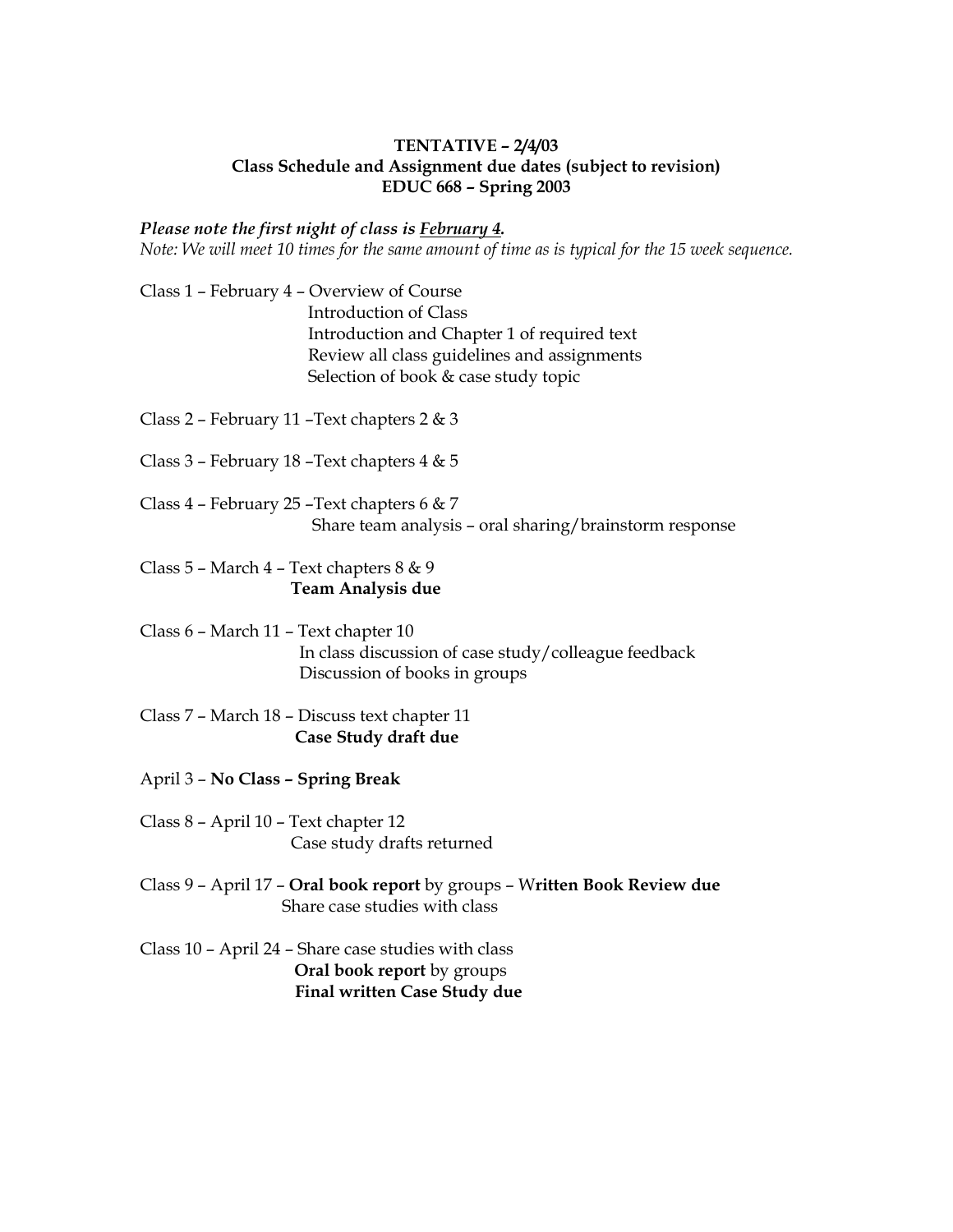#### **TENTATIVE – 2/4/03 Class Schedule and Assignment due dates (subject to revision) EDUC 668 – Spring 2003**

#### *Please note the first night of class is February 4.*

*Note: We will meet 10 times for the same amount of time as is typical for the 15 week sequence.*

Class 1 – February 4 – Overview of Course Introduction of Class Introduction and Chapter 1 of required text Review all class guidelines and assignments Selection of book & case study topic

Class 2 – February 11 –Text chapters 2 & 3

- Class 3 February 18 –Text chapters 4 & 5
- Class 4 February 25 –Text chapters 6 & 7 Share team analysis – oral sharing/brainstorm response

Class 5 – March 4 – Text chapters 8 & 9  **Team Analysis due**

- Class 6 March 11 Text chapter 10 In class discussion of case study/colleague feedback Discussion of books in groups
- Class 7 March 18 Discuss text chapter 11  **Case Study draft due**
- April 3 **No Class – Spring Break**
- Class 8 April 10 Text chapter 12 Case study drafts returned
- Class 9 April 17 **Oral book report** by groups W**ritten Book Review due** Share case studies with class
- Class 10 April 24 Share case studies with class **Oral book report** by groups  **Final written Case Study due**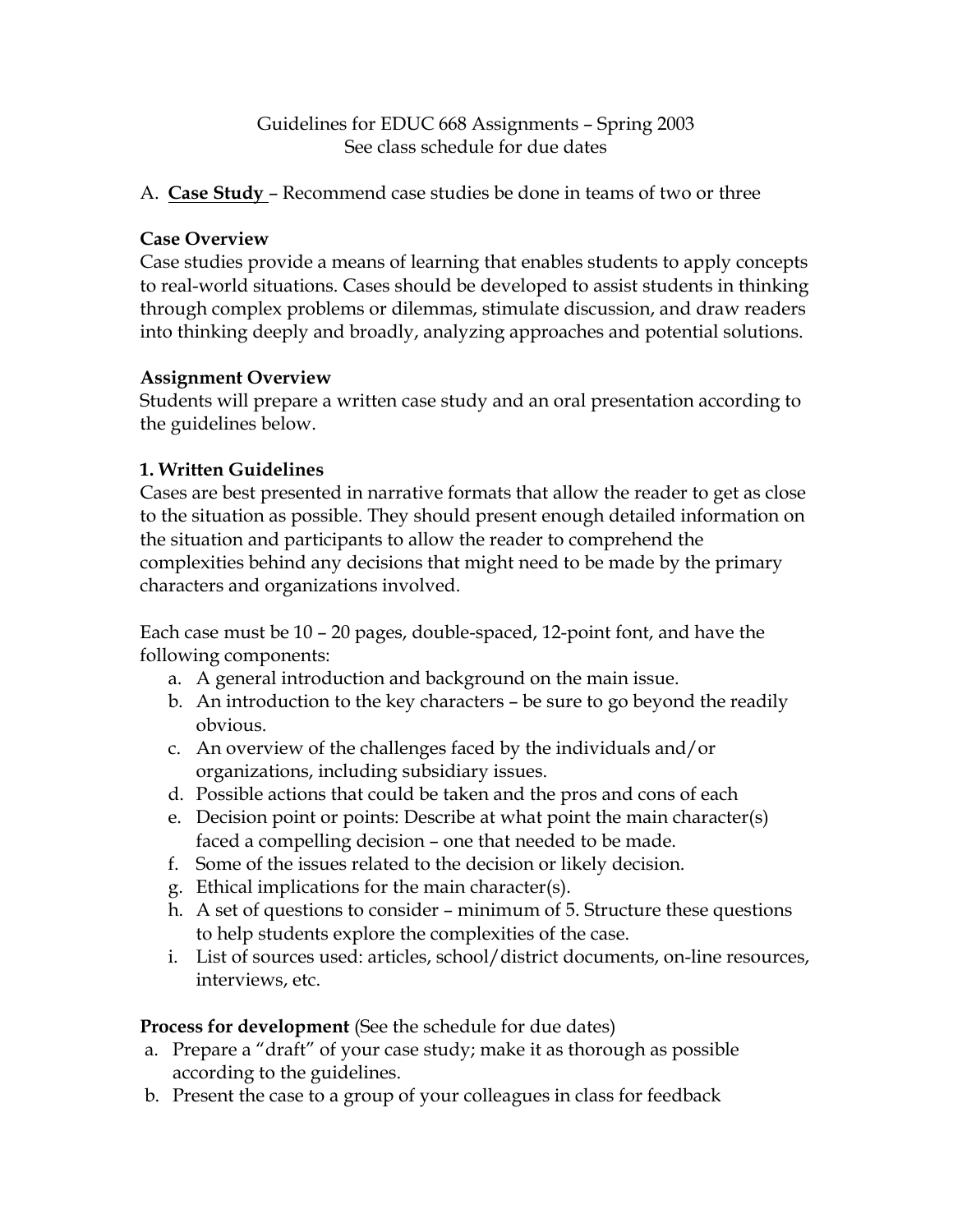### Guidelines for EDUC 668 Assignments – Spring 2003 See class schedule for due dates

A. **Case Study** – Recommend case studies be done in teams of two or three

### **Case Overview**

Case studies provide a means of learning that enables students to apply concepts to real-world situations. Cases should be developed to assist students in thinking through complex problems or dilemmas, stimulate discussion, and draw readers into thinking deeply and broadly, analyzing approaches and potential solutions.

#### **Assignment Overview**

Students will prepare a written case study and an oral presentation according to the guidelines below.

### **1. Written Guidelines**

Cases are best presented in narrative formats that allow the reader to get as close to the situation as possible. They should present enough detailed information on the situation and participants to allow the reader to comprehend the complexities behind any decisions that might need to be made by the primary characters and organizations involved.

Each case must be 10 – 20 pages, double-spaced, 12-point font, and have the following components:

- a. A general introduction and background on the main issue.
- b. An introduction to the key characters be sure to go beyond the readily obvious.
- c. An overview of the challenges faced by the individuals and/or organizations, including subsidiary issues.
- d. Possible actions that could be taken and the pros and cons of each
- e. Decision point or points: Describe at what point the main character(s) faced a compelling decision – one that needed to be made.
- f. Some of the issues related to the decision or likely decision.
- g. Ethical implications for the main character(s).
- h. A set of questions to consider minimum of 5. Structure these questions to help students explore the complexities of the case.
- i. List of sources used: articles, school/district documents, on-line resources, interviews, etc.

**Process for development** (See the schedule for due dates)

- a. Prepare a "draft" of your case study; make it as thorough as possible according to the guidelines.
- b. Present the case to a group of your colleagues in class for feedback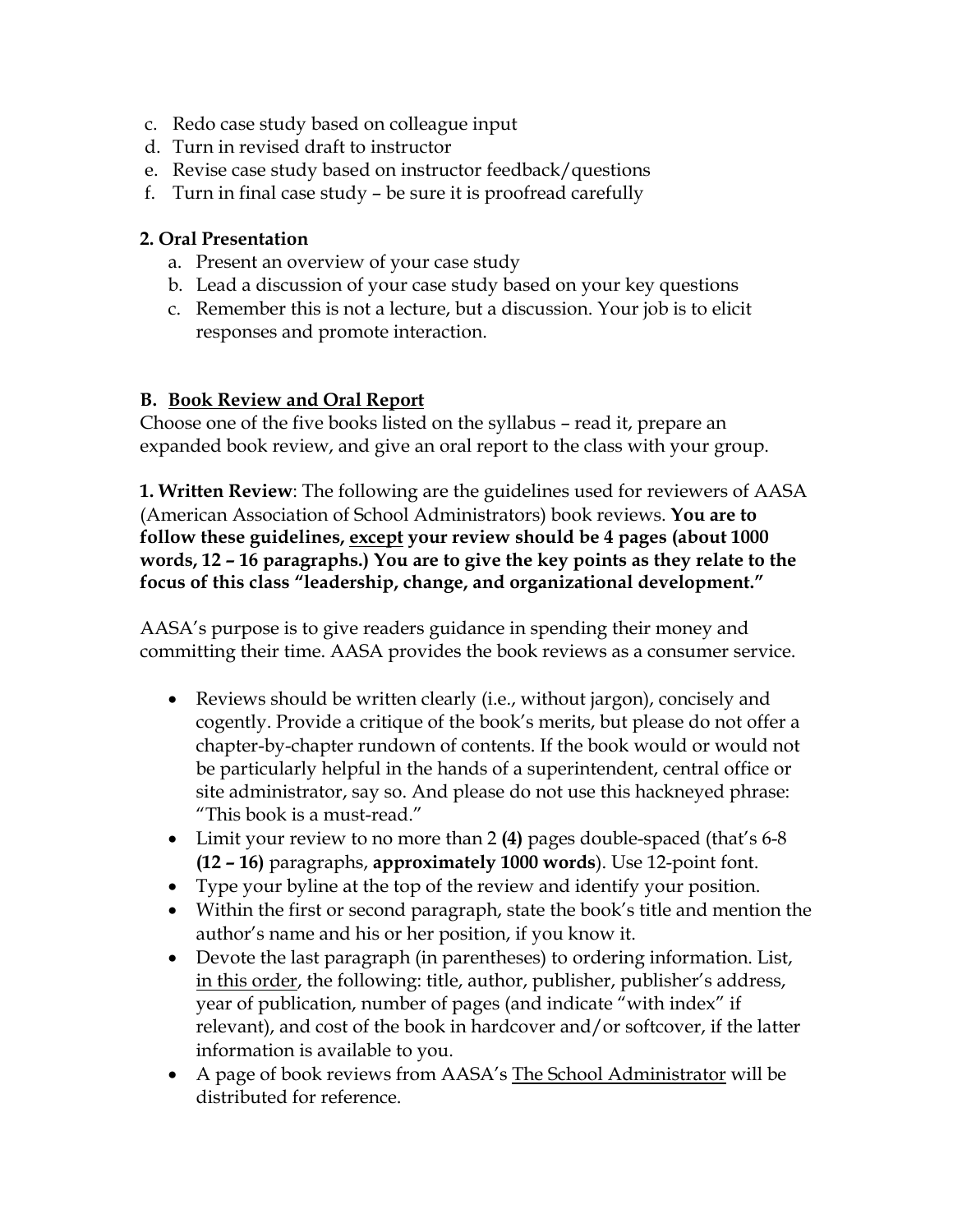- c. Redo case study based on colleague input
- d. Turn in revised draft to instructor
- e. Revise case study based on instructor feedback/questions
- f. Turn in final case study be sure it is proofread carefully

### **2. Oral Presentation**

- a. Present an overview of your case study
- b. Lead a discussion of your case study based on your key questions
- c. Remember this is not a lecture, but a discussion. Your job is to elicit responses and promote interaction.

### **B. Book Review and Oral Report**

Choose one of the five books listed on the syllabus – read it, prepare an expanded book review, and give an oral report to the class with your group.

**1. Written Review**: The following are the guidelines used for reviewers of AASA (American Association of School Administrators) book reviews. **You are to follow these guidelines, except your review should be 4 pages (about 1000 words, 12 – 16 paragraphs.) You are to give the key points as they relate to the focus of this class "leadership, change, and organizational development."**

AASA's purpose is to give readers guidance in spending their money and committing their time. AASA provides the book reviews as a consumer service.

- Reviews should be written clearly (i.e., without jargon), concisely and cogently. Provide a critique of the book's merits, but please do not offer a chapter-by-chapter rundown of contents. If the book would or would not be particularly helpful in the hands of a superintendent, central office or site administrator, say so. And please do not use this hackneyed phrase: "This book is a must-read."
- Limit your review to no more than 2 **(4)** pages double-spaced (that's 6-8 **(12 – 16)** paragraphs, **approximately 1000 words**). Use 12-point font.
- Type your byline at the top of the review and identify your position.
- Within the first or second paragraph, state the book's title and mention the author's name and his or her position, if you know it.
- Devote the last paragraph (in parentheses) to ordering information. List, in this order, the following: title, author, publisher, publisher's address, year of publication, number of pages (and indicate "with index" if relevant), and cost of the book in hardcover and/or softcover, if the latter information is available to you.
- A page of book reviews from AASA's The School Administrator will be distributed for reference.